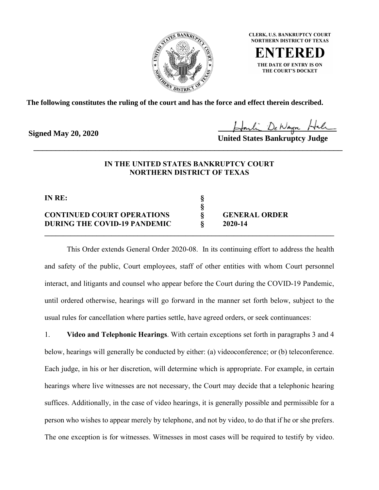

**CLERK, U.S. BANKRUPTCY COURT NORTHERN DISTRICT OF TEXAS** 

THE DATE OF ENTRY IS ON THE COURT'S DOCKET

**The following constitutes the ruling of the court and has the force and effect therein described.**

**Signed May 20, 2020**

**United States Bankruptcy Judge**

## **IN THE UNITED STATES BANKRUPTCY COURT NORTHERN DISTRICT OF TEXAS**

\_\_\_\_\_\_\_\_\_\_\_\_\_\_\_\_\_\_\_\_\_\_\_\_\_\_\_\_\_\_\_\_\_\_\_\_\_\_\_\_\_\_\_\_\_\_\_\_\_\_\_\_\_\_\_\_\_\_\_\_\_\_\_\_\_\_\_\_\_\_

**§**

**IN RE: §**

## **CONTINUED COURT OPERATIONS § GENERAL ORDER DURING THE COVID-19 PANDEMIC § 2020-14**

This Order extends General Order 2020-08. In its continuing effort to address the health and safety of the public, Court employees, staff of other entities with whom Court personnel interact, and litigants and counsel who appear before the Court during the COVID-19 Pandemic, until ordered otherwise, hearings will go forward in the manner set forth below, subject to the usual rules for cancellation where parties settle, have agreed orders, or seek continuances:

**\_\_\_\_\_\_\_\_\_\_\_\_\_\_\_\_\_\_\_\_\_\_\_\_\_\_\_\_\_\_\_\_\_\_\_\_\_\_\_\_\_\_\_\_\_\_\_\_\_\_\_\_\_\_\_\_\_\_\_\_\_\_\_\_\_\_\_\_\_\_\_\_\_\_\_\_\_\_**

1. **Video and Telephonic Hearings**. With certain exceptions set forth in paragraphs 3 and 4 below, hearings will generally be conducted by either: (a) videoconference; or (b) teleconference. Each judge, in his or her discretion, will determine which is appropriate. For example, in certain hearings where live witnesses are not necessary, the Court may decide that a telephonic hearing suffices. Additionally, in the case of video hearings, it is generally possible and permissible for a person who wishes to appear merely by telephone, and not by video, to do that if he or she prefers. The one exception is for witnesses. Witnesses in most cases will be required to testify by video.